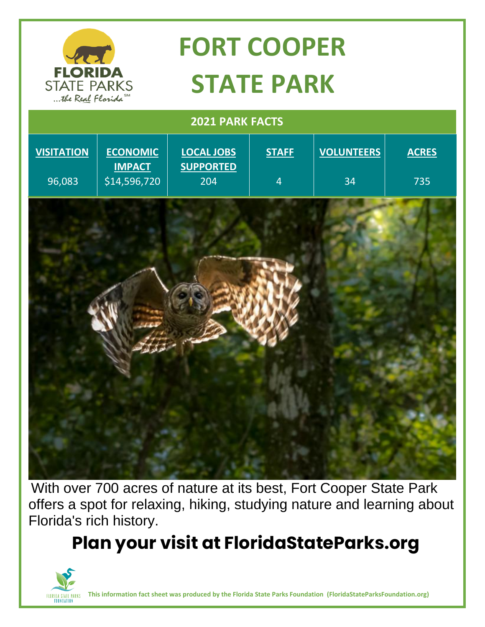

# **FORT COOPER STATE PARK**

 **2021 PARK FACTS**



With over 700 acres of nature at its best, Fort Cooper State Park offers a spot for relaxing, hiking, studying nature and learning about Florida's rich history.

**Plan your visit at FloridaStateParks.org**



**This information fact sheet was produced by the Florida State Parks Foundation (FloridaStateParksFoundation.org)**